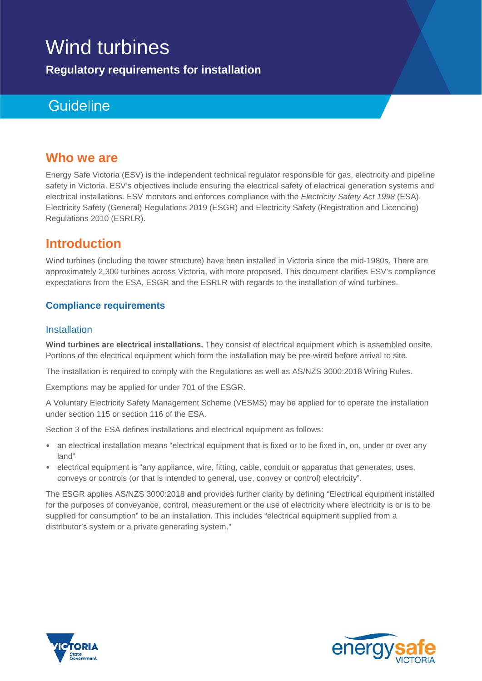# Wind turbines

**Regulatory requirements for installation**

# Guideline

#### **Who we are**

Energy Safe Victoria (ESV) is the independent technical regulator responsible for gas, electricity and pipeline safety in Victoria. ESV's objectives include ensuring the electrical safety of electrical generation systems and electrical installations. ESV monitors and enforces compliance with the *Electricity Safety Act 1998* (ESA), Electricity Safety (General) Regulations 2019 (ESGR) and Electricity Safety (Registration and Licencing) Regulations 2010 (ESRLR).

## **Introduction**

Wind turbines (including the tower structure) have been installed in Victoria since the mid-1980s. There are approximately 2,300 turbines across Victoria, with more proposed. This document clarifies ESV's compliance expectations from the ESA, ESGR and the ESRLR with regards to the installation of wind turbines.

#### **Compliance requirements**

#### **Installation**

**Wind turbines are electrical installations.** They consist of electrical equipment which is assembled onsite. Portions of the electrical equipment which form the installation may be pre-wired before arrival to site.

The installation is required to comply with the Regulations as well as AS/NZS 3000:2018 Wiring Rules.

Exemptions may be applied for under 701 of the ESGR.

A Voluntary Electricity Safety Management Scheme (VESMS) may be applied for to operate the installation under section 115 or section 116 of the ESA.

Section 3 of the ESA defines installations and electrical equipment as follows:

- an electrical installation means "electrical equipment that is fixed or to be fixed in, on, under or over any land"
- electrical equipment is "any appliance, wire, fitting, cable, conduit or apparatus that generates, uses, conveys or controls (or that is intended to general, use, convey or control) electricity".

The ESGR applies AS/NZS 3000:2018 **and** provides further clarity by defining "Electrical equipment installed for the purposes of conveyance, control, measurement or the use of electricity where electricity is or is to be supplied for consumption" to be an installation. This includes "electrical equipment supplied from a distributor's system or a private generating system."



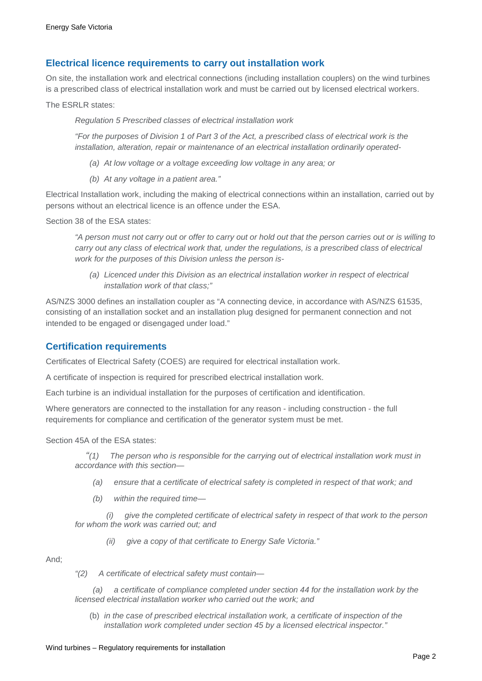#### **Electrical licence requirements to carry out installation work**

On site, the installation work and electrical connections (including installation couplers) on the wind turbines is a prescribed class of electrical installation work and must be carried out by licensed electrical workers.

The ESRLR states:

*Regulation 5 Prescribed classes of electrical installation work*

*"For the purposes of Division 1 of Part 3 of the Act, a prescribed class of electrical work is the installation, alteration, repair or maintenance of an electrical installation ordinarily operated-*

- *(a) At low voltage or a voltage exceeding low voltage in any area; or*
- *(b) At any voltage in a patient area."*

Electrical Installation work, including the making of electrical connections within an installation, carried out by persons without an electrical licence is an offence under the ESA.

Section 38 of the ESA states:

*"A person must not carry out or offer to carry out or hold out that the person carries out or is willing to carry out any class of electrical work that, under the regulations, is a prescribed class of electrical work for the purposes of this Division unless the person is-*

*(a) Licenced under this Division as an electrical installation worker in respect of electrical installation work of that class;"*

AS/NZS 3000 defines an installation coupler as "A connecting device, in accordance with AS/NZS 61535, consisting of an installation socket and an installation plug designed for permanent connection and not intended to be engaged or disengaged under load."

#### **Certification requirements**

Certificates of Electrical Safety (COES) are required for electrical installation work.

A certificate of inspection is required for prescribed electrical installation work.

Each turbine is an individual installation for the purposes of certification and identification.

Where generators are connected to the installation for any reason - including construction - the full requirements for compliance and certification of the generator system must be met.

Section 45A of the ESA states:

*"(1) The person who is responsible for the carrying out of electrical installation work must in accordance with this section—*

- *(a) ensure that a certificate of electrical safety is completed in respect of that work; and*
- *(b) within the required time—*

*(i) give the completed certificate of electrical safety in respect of that work to the person for whom the work was carried out; and*

*(ii) give a copy of that certificate to Energy Safe Victoria."*

And;

*"(2) A certificate of electrical safety must contain—*

*(a) a certificate of compliance completed under section 44 for the installation work by the licensed electrical installation worker who carried out the work; and*

(b) *in the case of prescribed electrical installation work, a certificate of inspection of the installation work completed under section 45 by a licensed electrical inspector."*